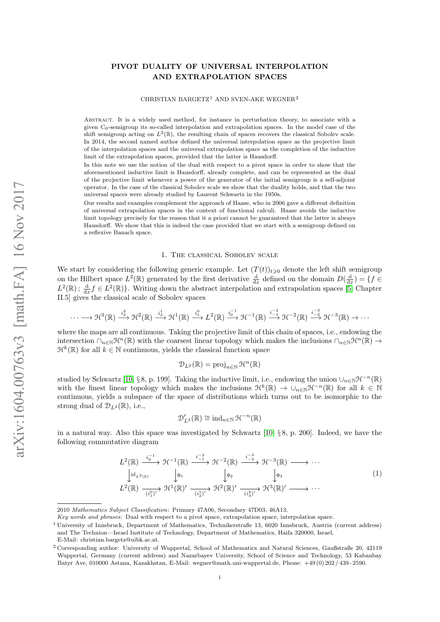# PIVOT DUALITY OF UNIVERSAL INTERPOLATION AND EXTRAPOLATION SPACES

CHRISTIAN BARGETZ<sup>1</sup> AND SVEN-AKE WEGNER<sup>2</sup>

Abstract. It is a widely used method, for instance in perturbation theory, to associate with a given  $C_0$ -semigroup its so-called interpolation and extrapolation spaces. In the model case of the shift semigroup acting on  $L^2(\mathbb{R})$ , the resulting chain of spaces recovers the classical Sobolev scale. In 2014, the second named author defined the universal interpolation space as the projective limit of the interpolation spaces and the universal extrapolation space as the completion of the inductive limit of the extrapolation spaces, provided that the latter is Hausdorff.

In this note we use the notion of the dual with respect to a pivot space in order to show that the aforementioned inductive limit is Hausdorff, already complete, and can be represented as the dual of the projective limit whenever a power of the generator of the initial semigroup is a self-adjoint operator. In the case of the classical Sobolev scale we show that the duality holds, and that the two universal spaces were already studied by Laurent Schwartz in the 1950s.

Our results and examples complement the approach of Haase, who in 2006 gave a different definition of universal extrapolation spaces in the context of functional calculi. Haase avoids the inductive limit topology precisely for the reason that it a priori cannot be guaranteed that the latter is always Hausdorff. We show that this is indeed the case provided that we start with a semigroup defined on a reflexive Banach space.

#### 1. The classical Sobolev scale

<span id="page-0-1"></span>We start by considering the following generic example. Let  $(T(t))_{t\geqslant0}$  denote the left shift semigroup on the Hilbert space  $L^2(\mathbb{R})$  generated by the first derivative  $\frac{d}{dx}$  defined on the domain  $D(\frac{d}{dx}) = \{f \in$  $L^2(\mathbb{R}); \frac{d}{dx} f \in L^2(\mathbb{R})\}$ . Writing down the abstract interpolation and extrapolation spaces [\[5,](#page-7-0) Chapter II.5] gives the classical scale of Sobolev spaces

$$
\cdots \longrightarrow \mathfrak{H}^{3}(\mathbb{R}) \stackrel{i_{3}^{2}}{\longrightarrow} \mathfrak{H}^{2}(\mathbb{R}) \stackrel{i_{2}^{1}}{\longrightarrow} \mathfrak{H}^{1}(\mathbb{R}) \stackrel{i_{0}^{0}}{\longrightarrow} L^{2}(\mathbb{R}) \stackrel{i_{0}^{-1}}{\longrightarrow} \mathfrak{H}^{-1}(\mathbb{R}) \stackrel{i_{-1}^{-2}}{\longrightarrow} \mathfrak{H}^{-2}(\mathbb{R}) \stackrel{i_{-2}^{-3}}{\longrightarrow} \mathfrak{H}^{-3}(\mathbb{R}) \longrightarrow \cdots
$$

where the maps are all continuous. Taking the projective limit of this chain of spaces, i.e., endowing the intersection  $\cap_{n\in\mathbb{N}}\mathcal{H}^n(\mathbb{R})$  with the coarsest linear topology which makes the inclusions  $\cap_{n\in\mathbb{N}}\mathcal{H}^n(\mathbb{R})\to$  $\mathcal{H}^k(\mathbb{R})$  for all  $k \in \mathbb{N}$  continuous, yields the classical function space

$$
\mathcal{D}_{L^2}(\mathbb{R}) = \proj_{n \in \mathbb{N}} \mathcal{H}^n(\mathbb{R})
$$

studied by Schwartz [\[10,](#page-8-0) §8, p. 199]. Taking the inductive limit, i.e., endowing the union  $\cup_{n\in\mathbb{N}}\mathcal{H}^{-n}(\mathbb{R})$ with the finest linear topology which makes the inclusions  $\mathcal{H}^k(\mathbb{R}) \to \cup_{n \in \mathbb{N}} \mathcal{H}^{-n}(\mathbb{R})$  for all  $k \in \mathbb{N}$ continuous, yields a subspace of the space of distributions which turns out to be isomorphic to the strong dual of  $\mathcal{D}_{L^2}(\mathbb{R})$ , i.e.,

$$
\mathcal{D}_{L^2}'(\mathbb{R}) \cong \mathrm{ind}_{n \in \mathbb{N}} \,\mathcal{H}^{-n}(\mathbb{R})
$$

in a natural way. Also this space was investigated by Schwartz  $[10, \{8, p, 200]$  $[10, \{8, p, 200]$ . Indeed, we have the following commutative diagram

<span id="page-0-0"></span>
$$
L^{2}(\mathbb{R}) \xrightarrow{i_{0}^{-1}} \mathcal{H}^{-1}(\mathbb{R}) \xrightarrow{i_{-1}^{-2}} \mathcal{H}^{-2}(\mathbb{R}) \xrightarrow{i_{-2}^{-3}} \mathcal{H}^{-3}(\mathbb{R}) \longrightarrow \cdots
$$
  
\n
$$
\downarrow id_{L^{2}(\mathbb{R})} \qquad \qquad \downarrow \phi_{1} \qquad \qquad \downarrow \phi_{2} \qquad \qquad \downarrow \phi_{3}
$$
  
\n
$$
L^{2}(\mathbb{R}) \xrightarrow{\overbrace{(i_{1}^{0})'}} \mathcal{H}^{1}(\mathbb{R})' \xrightarrow{\overbrace{(i_{2}^{1})'}} \mathcal{H}^{2}(\mathbb{R})' \xrightarrow{\overbrace{(i_{3}^{2})'}} \mathcal{H}^{3}(\mathbb{R})' \longrightarrow \cdots
$$
  
\n(1)

<sup>2010</sup> Mathematics Subject Classification: Primary 47A06, Secondary 47D03, 46A13.

Key words and phrases: Dual with respect to a pivot space, extrapolation space, interpolation space.

<sup>1</sup> University of Innsbruck, Department of Mathematics, Technikerstraße 13, 6020 Innsbruck, Austria (current address) and The Technion—Israel Institute of Technology, Department of Mathematics, Haifa 320000, Israel, E-Mail: christian.bargetz@uibk.ac.at.

<sup>2</sup> Corresponding author: University of Wuppertal, School of Mathematics and Natural Sciences, Gaußstraße 20, 42119 Wuppertal, Germany (current address) and Nazarbayev University, School of Science and Technology, 53 Kabanbay Batyr Ave, 010000 Astana, Kazakhstan, E-Mail: wegner@math.uni-wuppertal.de, Phone: +49 (0) 202 / 439 - 2590.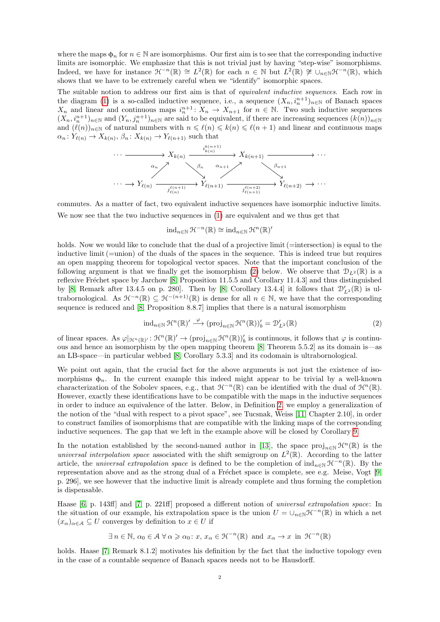where the maps  $\phi_n$  for  $n \in \mathbb{N}$  are isomorphisms. Our first aim is to see that the corresponding inductive limits are isomorphic. We emphasize that this is not trivial just by having "step-wise" isomorphisms. limits are isomorphic. We emphasize that this is not trivial just by having "step-wise" isomorphisms. Indeed, we have for instance  $\mathcal{H}^{-n}(\mathbb{R}) \cong L^2(\mathbb{R})$  for each  $n \in \mathbb{N}$  but  $L^2(\mathbb{R}) \ncong \cup_{n \in \mathbb{N}} \mathcal{H}^{-n}(\mathbb{R})$ , which shows that we have to be extremely careful when we "identify" isomorphic spaces. shows that we have to be extremely careful when we "identify" isomorphic spaces.

The suitable notion to address our first aim is that of *equivalent inductive sequences*. Each row in the diagram [\(1\)](#page-0-0) is a so-called inductive sequence, i.e., a sequence  $(X_n, i_n^{n+1})_{n \in \mathbb{N}}$  of Banach spaces  $X_n$  and linear and continuous maps  $i_n^{n+1}$ :  $X_n \to X_{n+1}$  for  $n \in \mathbb{N}$ . Two such inductive sequences  $(X_n, i_n^{n+1})_{n \in \mathbb{N}}$  and  $(Y_n, j_n^{n+1})_{n \in \mathbb{N}}$  are said to be equivalent, if there are increasing sequences  $(k(n))_{n \in \mathbb{N}}$ and  $(\ell(n))_{n\in\mathbb{N}}$  of natural numbers with  $n \leq \ell(n) \leq k(n) \leq \ell(n + 1)$  and linear and continuous maps  $\alpha_n: Y_{\ell(n)} \to X_{k(n)}, \beta_n: X_{k(n)} \to Y_{\ell(n+1)}$  such that the diagram (1) is a so-called inductive sequence, i.e., a sequence  $(X_n, i_n^{n+1})_{n \in \mathbb{N}}$  of Banach spaces  $X_n$  and linear and continuous maps  $i_n^{n+1}$ :  $X_n \to X_{n+1}$  for  $n \in \mathbb{N}$ . Two such inductive sequences  $(X_n, i_n^{n+1})_{n\in\mathbb{N}}$  and  $(Y_n, j_n^{n+1})_{n\in\mathbb{N}}$  are said to be equivalent, if there are increasing sequences  $(k(n))_{n\in\mathbb{N}}$ 



commutes. By a matter of fact, two equivalent inductive sequences have isomorphic inductive limits. commutes. As a matter of fact, two equivalent inductive sequences have isomorphic inductive limits. We now see that the two inductive sequences in (1) are equivalent and we thus get that We now see that the two inductive sequences in [\(1\)](#page-0-0) are equivalent and we thus get that

$$
\operatorname{ind}_{n\in\mathbb{N}}\mathfrak{H}^{-n}(\mathbb{R})\cong \operatorname{ind}_{n\in\mathbb{N}}\mathfrak{H}^{n}(\mathbb{R})'
$$

holds. Now we would like to conclude that the dual of a projective limit (=intersection) is equal to the inductive limit (=union) of the duals of the spaces in the sequence. This is indeed true but requires an open mapping theorem for topological vector spaces. Note that the important conclusion of the following argument is that we finally get the isomorphism [\(2\)](#page-1-0) below. We observe that  $\mathcal{D}_{L^2}(\mathbb{R})$  is a reflexive Fréchet space by Jarchow  $[8,$  Proposition 11.5.5 and Corollary 11.4.3] and thus distinguished by [\[8,](#page-8-1) Remark after 13.4.5 on p. 280]. Then by [8, Corollary 13.4.4] it follows that  $\mathcal{D}'_{L^2}(\mathbb{R})$  is ultrabornological. As  $\mathcal{H}^{-n}(\mathbb{R}) \subseteq \mathcal{H}^{-(n+1)}(\mathbb{R})$  is dense for all  $n \in \mathbb{N}$ , we have that the corresponding sequence is reduced and [8, Proposition 8.8.7] implies that there is a natural isomorphism sequence is reduced and [\[8,](#page-8-1) Proposition 8.8.7] implies that there is a natural isomorphism

<span id="page-1-0"></span>
$$
\operatorname{ind}_{n\in\mathbb{N}}\mathcal{H}^n(\mathbb{R})' \stackrel{\varphi}{\longrightarrow} (\operatorname{proj}_{n\in\mathbb{N}}\mathcal{H}^n(\mathbb{R}))'_b = \mathcal{D}'_{L^2}(\mathbb{R})
$$
\n(2)

of linear spaces. As  $\varphi_{\mathcal{H}^n(\mathbb{R})'}$ .  $\varphi(\mathbb{R}) \to (\text{proj}_{n \in \mathbb{N}})$  is continuous, it follows that  $\varphi$  is continu-<br>ous and hence an isomorphism by the open mapping theorem [\[8,](#page-8-1) Theorem 5.5.2] as its domain is—as  $\sim$  0.10 anomorphism by the open mapping theorem [8, Theorem 5.0.2] as its domain is—as in mapping theorem  $\sim$  0.5.2] as  $\sim$  1.12 as its order  $\sim$  1.12 as its domain is—as in mapping  $\sim$  0.14.15 as its domain is—as i an LB-space—in particular webbed [8, Corollary 5.3.3] and its codomain is ultrabornological. an LB-space—in particular webbed [\[8,](#page-8-1) Corollary 5.3.3] and its codomain is ultrabornological. of linear spaces. As  $\varphi|_{\mathcal{H}^n(\mathbb{R})'} : \mathcal{H}^n(\mathbb{R})' \to (\text{proj}_{n \in \mathbb{N}} \mathcal{H}^n(\mathbb{R}))'_b$  is continuous, it follows that  $\varphi$  is continu-

We point out again, that the crucial fact for the above arguments is not just the existence of isomorphisms  $\phi_n$ . In the current example this indeed might appear to be trivial by a well-known characterization of the Sobolev spaces, e.g., that  $\mathcal{H}^{-n}(\mathbb{R})$  can be identified with the dual of  $\mathcal{H}^{n}(\mathbb{R})$ . However, exactly these identifications have to be compatible with the maps in the inductive sequences in order to induce an equivalence of the latter. Below, in Definition [2,](#page-2-0) we employ a generalization of notion of the "dual with respect to a pivot space", see Tucsnak, Weiss [11, Chapter 2.10], in order the notion of the "dual with respect to a pivot space", see Tucsnak, Weiss [\[11,](#page-8-2) Chapter 2.10], in order to construct families of isomorphisms that are compatible with the linking maps of the corresponding inductive sequences. The gap that we left in the example above will be closed by Corollary [9.](#page-7-1)

In the notation established by the second-named author in [\[13\]](#page-8-3), the space proj<sub>n∈N</sub>  $\mathcal{H}^n(\mathbb{R})$  is the notation established with the shift estimation on  $L^2(\mathbb{R})$ . Association to the latter universal interpolation space associated with the shift semigroup on  $L^2(\mathbb{R})$ . According to the latter article, the universal extrapolation space is defined to be the completion of  $\text{ind}_{n\in\mathbb{N}}\mathcal{H}^{-n}(\mathbb{R})$ . By the representation above and as the strong dual of a Fréchet space is complete, see e.g. Meise, Vogt [\[9,](#page-8-4) p. 296], we see however that the inductive limit is already complete and thus forming the completion p. 296], we see however that the inductive limit is already complete and thus forming the completion is dispensable. is dispensable.

Haase  $[6, p. 143ff]$  $[6, p. 143ff]$  and  $[7, p. 221ff]$  $[7, p. 221ff]$  proposed a different notion of universal extrapolation space: In the situation of our example, his extrapolation space is the union  $U = \bigcup_{n\in\mathbb{N}} \mathcal{H}^{-n}(\mathbb{R})$  in which a net  $(x_\alpha)_{\alpha \in \mathcal{A}} \subseteq U$  converges by definition to  $x \in U$  if

$$
\exists n \in \mathbb{N}, \, \alpha_0 \in \mathcal{A} \,\forall \, \alpha \geqslant \alpha_0 \colon x, \, x_\alpha \in \mathcal{H}^{-n}(\mathbb{R}) \, \text{ and } \, x_\alpha \to x \, \text{ in } \, \mathcal{H}^{-n}(\mathbb{R})
$$

holds. Haase [\[7,](#page-8-5) Remark 8.1.2] motivates his definition by the fact that the inductive topology even in the case of a countable sequence of Banach spaces needs not to be Hausdorff.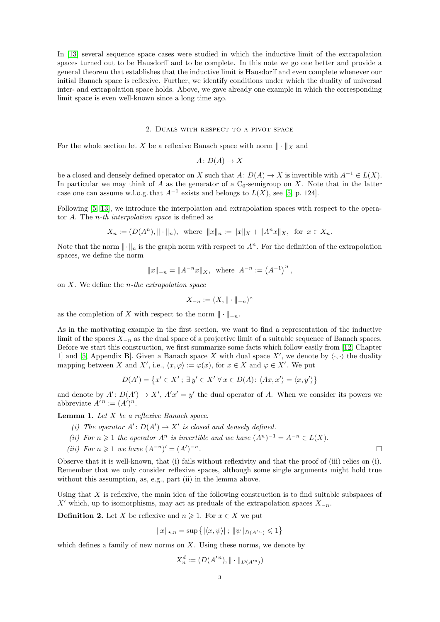In [\[13\]](#page-8-3) several sequence space cases were studied in which the inductive limit of the extrapolation spaces turned out to be Hausdorff and to be complete. In this note we go one better and provide a general theorem that establishes that the inductive limit is Hausdorff and even complete whenever our initial Banach space is reflexive. Further, we identify conditions under which the duality of universal inter- and extrapolation space holds. Above, we gave already one example in which the corresponding limit space is even well-known since a long time ago.

#### 2. Duals with respect to a pivot space

<span id="page-2-2"></span>For the whole section let X be a reflexive Banach space with norm  $\|\cdot\|_X$  and

 $A: D(A) \to X$ 

be a closed and densely defined operator on X such that  $A: D(A) \to X$  is invertible with  $A^{-1} \in L(X)$ . In particular we may think of A as the generator of a  $C_0$ -semigroup on X. Note that in the latter case one can assume w.l.o.g. that  $A^{-1}$  exists and belongs to  $L(X)$ , see [\[5,](#page-7-0) p. 124].

Following [\[5,](#page-7-0) [13\]](#page-8-3), we introduce the interpolation and extrapolation spaces with respect to the operator A. The n-th interpolation space is defined as

$$
X_n := (D(A^n), \|\cdot\|_n)
$$
, where  $\|x\|_n := \|x\|_X + \|A^n x\|_X$ , for  $x \in X_n$ .

Note that the norm  $\|\cdot\|_n$  is the graph norm with respect to  $A^n$ . For the definition of the extrapolation spaces, we define the norm

$$
||x||_{-n} = ||A^{-n}x||_X
$$
, where  $A^{-n} := (A^{-1})^n$ ,

on  $X$ . We define the *n*-the extrapolation space

$$
X_{-n} := (X, \|\cdot\|_{-n})^{\wedge}
$$

as the completion of X with respect to the norm  $\|\cdot\|_{-n}$ .

As in the motivating example in the first section, we want to find a representation of the inductive limit of the spaces  $X_{-n}$  as the dual space of a projective limit of a suitable sequence of Banach spaces. Before we start this construction, we first summarize some facts which follow easily from [\[12,](#page-8-6) Chapter 1] and [\[5,](#page-7-0) Appendix B]. Given a Banach space X with dual space  $X'$ , we denote by  $\langle \cdot, \cdot \rangle$  the duality mapping between X and X', i.e.,  $\langle x, \varphi \rangle := \varphi(x)$ , for  $x \in X$  and  $\varphi \in X'$ . We put

$$
D(A') = \{x' \in X'; \exists y' \in X' \forall x \in D(A): \langle Ax, x' \rangle = \langle x, y' \rangle\}
$$

and denote by  $A' : D(A') \to X'$ ,  $A'x' = y'$  the dual operator of A. When we consider its powers we abbreviate  $A^n := (A')^n$ .

<span id="page-2-1"></span>**Lemma 1.** Let  $X$  be a reflexive Banach space.

- (i) The operator  $A' : D(A') \to X'$  is closed and densely defined.
- (ii) For  $n \geq 1$  the operator  $A^n$  is invertible and we have  $(A^n)^{-1} = A^{-n} \in L(X)$ .
- (iii) For  $n \geq 1$  we have  $(A^{-n})' = (A')$  $-\frac{n}{2}$ .

Observe that it is well-known, that (i) fails without reflexivity and that the proof of (iii) relies on (i). Remember that we only consider reflexive spaces, although some single arguments might hold true without this assumption, as, e.g., part (ii) in the lemma above.

Using that  $X$  is reflexive, the main idea of the following construction is to find suitable subspaces of X' which, up to isomorphisms, may act as preduals of the extrapolation spaces  $X_{-n}$ .

<span id="page-2-0"></span>**Definition 2.** Let X be reflexive and  $n \ge 1$ . For  $x \in X$  we put

$$
||x||_{\star,n} = \sup \{| \langle x, \psi \rangle | ; ||\psi||_{D(A^{'n})} \leq 1 \}
$$

which defines a family of new norms on  $X$ . Using these norms, we denote by

$$
X_n^d := (D(A'^n), \|\cdot\|_{D(A'^n)})
$$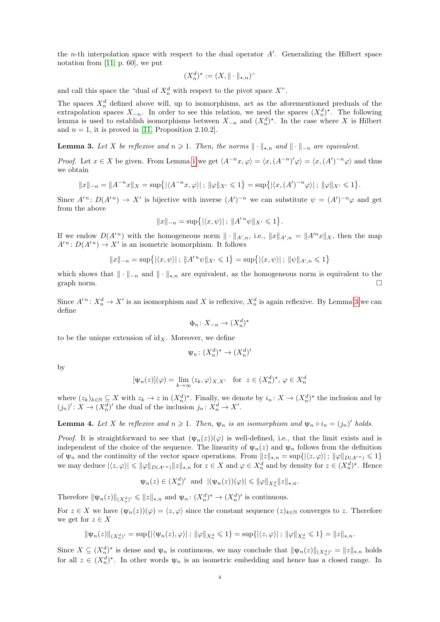the *n*-th interpolation space with respect to the dual operator  $A'$ . Generalizing the Hilbert space notation from [\[11,](#page-8-2) p. 60], we put

$$
(X_n^d)^{\star} := (X, \|\cdot\|_{\star,n})^{\wedge}
$$

and call this space the "dual of  $X_n^d$  with respect to the pivot space  $X$ ".

The spaces  $X_n^d$  defined above will, up to isomorphisms, act as the aforementioned preduals of the extrapolation spaces  $X_{-n}$ . In order to see this relation, we need the spaces  $(X_n^d)^*$ . The following lemma is used to establish isomorphisms between  $X_{-n}$  and  $(X_n^d)^*$ . In the case where X is Hilbert and  $n = 1$ , it is proved in [\[11,](#page-8-2) Proposition 2.10.2].

<span id="page-3-0"></span>**Lemma 3.** Let X be reflexive and  $n \geq 1$ . Then, the norms  $\|\cdot\|_{\star,n}$  and  $\|\cdot\|_{-n}$  are equivalent.

*Proof.* Let  $x \in X$  be given. From Lemma [1](#page-2-1) we get  $\langle A^{-n}x, \varphi \rangle = \langle x, (A^{-n})' \varphi \rangle = \langle x, (A')^{-n} \varphi \rangle$  and thus we obtain

$$
||x||_{-n} = ||A^{-n}x||_X = \sup\{|\langle A^{-n}x, \varphi \rangle| \, ; \, ||\varphi||_{X'} \leq 1\} = \sup\{|\langle x, (A')^{-n}\varphi \rangle| \, ; \, ||\varphi||_{X'} \leq 1\}.
$$

Since  $A'^n: D(A'^n) \to X'$  is bijective with inverse  $(A')^{-n}$  we can substitute  $\psi = (A')^{-n} \varphi$  and get from the above

$$
||x||_{-n} = \sup\{| \langle x, \psi \rangle | ; ||A'^n \psi ||_{X'} \leq 1 \}.
$$

If we endow  $D(A^n)$  with the homogeneous norm  $\|\cdot\|_{A',n}$ , i.e.,  $\|x\|_{A',n} = \|A'^n x\|_X$ , then the map  $A^{n}: D(A^{n}) \to X^{n}$  is an isometric isomorphism. It follows

$$
||x||_{-n} = \sup\{| \langle x, \psi \rangle | ; ||A'^n \psi||_{X'} \leq 1\} = \sup\{| \langle x, \psi \rangle | ; ||\psi||_{A',n} \leq 1\}
$$

which shows that  $\|\cdot\|_{-n}$  and  $\|\cdot\|_{\star,n}$  are equivalent, as the homogeneous norm is equivalent to the graph norm graph norm.

Since  $A'^n: X_n^d \to X'$  is an isomorphism and X is reflexive,  $X_n^d$  is again reflexive. By Lemma [3](#page-3-0) we can define

$$
\Phi_n \colon X_{-n} \to (X_n^d)^*
$$

to be the unique extension of  $\mathrm{id}_X$ . Moreover, we define

$$
\psi_n \colon (X_n^d)^* \to (X_n^d)'
$$

by

$$
[\Psi_n(z)](\varphi) = \lim_{k \to \infty} \langle z_k, \varphi \rangle_{X,X'} \quad \text{for } z \in (X_n^d)^{\star}, \varphi \in X_n^d
$$

where  $(z_k)_{k\in\mathbb{N}}\subseteq X$  with  $z_k\to z$  in  $(X_n^d)^*$ . Finally, we denote by  $i_n: X\to (X_n^d)^*$  the inclusion and by  $(j_n)' : X \to (X_n^d)'$  the dual of the inclusion  $j_n : X_n^d \to X'$ .

<span id="page-3-1"></span>**Lemma 4.** Let X be reflexive and  $n \ge 1$ . Then,  $\psi_n$  is an isomorphism and  $\psi_n \circ i_n = (j_n)'$  holds.

*Proof.* It is straightforward to see that  $(\psi_n(z))(\varphi)$  is well-defined, i.e., that the limit exists and is independent of the choice of the sequence. The linearity of  $\psi_n(z)$  and  $\psi_n$  follows from the definition of  $\psi_n$  and the continuity of the vector space operations. From  $||z||_{\star,n} = \sup\{|\langle z,\varphi\rangle|; ||\varphi||_{D(A'^n)} \leq 1\}$ we may deduce  $|\langle z, \varphi \rangle| \leq \|\varphi\|_{D(A'^n)} \|z\|_{\star,n}$  for  $z \in X$  and  $\varphi \in X_n^d$  and by density for  $z \in (X_n^d)^{\star}$ . Hence

$$
\Psi_n(z) \in (X_n^d)'
$$
 and  $|(\Psi_n(z))(\varphi)| \leq \|\varphi\|_{X_n^d} \|z\|_{\star,n}$ .

Therefore  $\|\psi_n(z)\|_{(X_n^d)'} \leqslant \|z\|_{\star,n}$  and  $\psi_n: (X_n^d)^* \to (X_n^d)'$  is continuous.

For  $z \in X$  we have  $(\psi_n(z))(\varphi) = \langle z, \varphi \rangle$  since the constant sequence  $(z)_{k \in \mathbb{N}}$  converges to z. Therefore we get for  $z \in X$ 

$$
\|\psi_n(z)\|_{(X_n^d)'} = \sup\{|\langle \psi_n(z), \varphi \rangle| \, ; \, \|\varphi\|_{X_n^d} \leq 1\} = \sup\{|\langle z, \varphi \rangle| \, ; \, \|\varphi\|_{X_n^d} \leq 1\} = \|z\|_{\star,n}.
$$

Since  $X \subseteq (X_n^d)^*$  is dense and  $\psi_n$  is continuous, we may conclude that  $\|\psi_n(z)\|_{(X_n^d)'} = \|z\|_{\star,n}$  holds for all  $z \in (X_n^d)^*$ . In other words  $\psi_n$  is an isometric embedding and hence has a closed range. In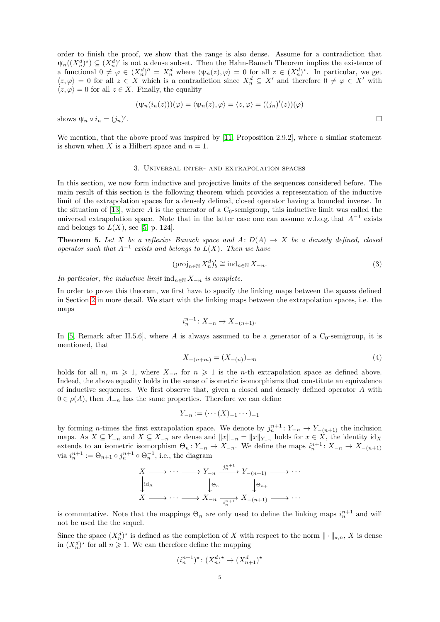order to finish the proof, we show that the range is also dense. Assume for a contradiction that  $\Psi_n((X_n^d)^*) \subseteq (X_n^d)'$  is not a dense subset. Then the Hahn-Banach Theorem implies the existence of a functional  $0 \neq \varphi \in (X_n^d)'' = X_n^d$  where  $\langle \psi_n(z), \varphi \rangle = 0$  for all  $z \in (X_n^d)^*$ . In particular, we get  $\langle z,\varphi\rangle = 0$  for all  $z \in X$  which is a contradiction since  $X_n^d \subseteq X'$  and therefore  $0 \neq \varphi \in X'$  with  $\langle z, \varphi \rangle = 0$  for all  $z \in X$ . Finally, the equality

$$
(\psi_n(i_n(z)))(\varphi) = \langle \psi_n(z), \varphi \rangle = \langle z, \varphi \rangle = ((j_n)'(z))(\varphi)
$$

shows  $\psi_n \circ i_n = (j_n)'$ . The contract of the contract of the contract of the contract of the contract of the contract of the contract<br>The contract of the contract of the contract of the contract of the contract of the contract of the contract o

We mention, that the above proof was inspired by [\[11,](#page-8-2) Proposition 2.9.2], where a similar statement is shown when X is a Hilbert space and  $n = 1$ .

### 3. Universal inter- and extrapolation spaces

In this section, we now form inductive and projective limits of the sequences considered before. The main result of this section is the following theorem which provides a representation of the inductive limit of the extrapolation spaces for a densely defined, closed operator having a bounded inverse. In the situation of [\[13\]](#page-8-3), where A is the generator of a  $C_0$ -semigroup, this inductive limit was called the universal extrapolation space. Note that in the latter case one can assume w.l.o.g. that  $A^{-1}$  exists and belongs to  $L(X)$ , see [\[5,](#page-7-0) p. 124].

<span id="page-4-0"></span>**Theorem 5.** Let X be a reflexive Banach space and  $A: D(A) \rightarrow X$  be a densely defined, closed operator such that  $A^{-1}$  exists and belongs to  $L(X)$ . Then we have

$$
(\operatorname{proj}_{n\in\mathbb{N}} X_n^d)'_b \cong \operatorname{ind}_{n\in\mathbb{N}} X_{-n}.\tag{3}
$$

In particular, the inductive limit  $\text{ind}_{n\in\mathbb{N}} X_{-n}$  is complete.

In order to prove this theorem, we first have to specify the linking maps between the spaces defined in Section [2](#page-2-2) in more detail. We start with the linking maps between the extrapolation spaces, i.e. the maps

$$
i_n^{n+1} \colon X_{-n} \to X_{-(n+1)}.
$$

In [\[5,](#page-7-0) Remark after II.5.6], where A is always assumed to be a generator of a  $C_0$ -semigroup, it is mentioned, that

$$
X_{-(n+m)} = (X_{-(n)})_{-m} \tag{4}
$$

holds for all n,  $m \geqslant 1$ , where  $X_{-n}$  for  $n \geqslant 1$  is the n-th extrapolation space as defined above. Indeed, the above equality holds in the sense of isometric isomorphisms that constitute an equivalence of inductive sequences. We first observe that, given a closed and densely defined operator A with  $0 \in \rho(A)$ , then  $A_{-n}$  has the same properties. Therefore we can define

$$
Y_{-n} := (\cdots (X)_{-1} \cdots )_{-1}
$$

by forming *n*-times the first extrapolation space. We denote by  $j_n^{n+1}: Y_{-n} \to Y_{-(n+1)}$  the inclusion maps. As  $X \subseteq Y_{-n}$  and  $X \subseteq X_{-n}$  are dense and  $||x||_{-n} = ||x||_{Y_{-n}}$  holds for  $x \in X$ , the identity id<sub>X</sub> extends to an isometric isomorphism  $\Theta_n: Y_{-n} \to X_{-n}$ . We define the maps  $i_n^{n+1}: X_{-n} \to X_{-(n+1)}$ via  $i_n^{n+1} := \Theta_{n+1} \circ j_n^{n+1} \circ \Theta_n^{-1}$ , i.e., the diagram

$$
X \longrightarrow \cdots \longrightarrow Y_{-n} \xrightarrow{j_n^{n+1}} Y_{-(n+1)} \longrightarrow \cdots
$$
  
\n
$$
\downarrow id_X \qquad \qquad \downarrow \Theta_n \qquad \qquad \downarrow \Theta_{n+1}
$$
  
\n
$$
X \longrightarrow \cdots \longrightarrow X_{-n} \xrightarrow[i_n^{n+1}]} X_{-(n+1)} \longrightarrow \cdots
$$

is commutative. Note that the mappings  $\Theta_n$  are only used to define the linking maps  $i_n^{n+1}$  and will not be used the the sequel.

Since the space  $(X_n^d)^*$  is defined as the completion of X with respect to the norm  $\|\cdot\|_{\star,n}$ , X is dense in  $(X_n^d)^*$  for all  $n \geq 1$ . We can therefore define the mapping

$$
(i_n^{n+1})^\star \colon (X_n^d)^\star \to (X_{n+1}^d)^\star
$$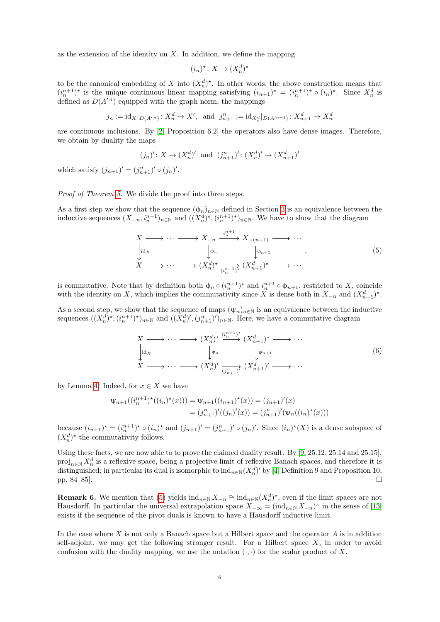as the extension of the identity on  $X$ . In addition, we define the mapping

$$
(i_n)^{\star} \colon X \to (X_n^d)^{\star}
$$

to be the canonical embedding of X into  $(X_n^d)^*$ . In other words, the above construction means that  $(i_n^{n+1})^*$  is the unique continuous linear mapping satisfying  $(i_{n+1})^* = (i_n^{n+1})^* \circ (i_n)^*$ . Since  $X_n^d$  is defined as  $D(A^{n})$  equipped with the graph norm, the mappings

$$
j_n := \text{id}_X|_{D(A'^n)} : X_n^d \to X', \text{ and } j_{n+1}^n := \text{id}_{X_n^d}|_{D(A'^{n+1})} : X_{n+1}^d \to X_n^d
$$

are continuous inclusions. By [\[2,](#page-7-3) Proposition 6.2] the operators also have dense images. Therefore, we obtain by duality the maps

$$
(j_n)': X \to (X_n^d)'
$$
 and  $(j_{n+1}^n)': (X_n^d)' \to (X_{n+1}^d)'$ 

which satisfy  $(j_{n+1})' = (j_{n+1}^n)' \circ (j_n)'$ .

Proof of Theorem [5.](#page-4-0) We divide the proof into three steps.

As a first step we show that the sequence  $(\phi_n)_{n\in\mathbb{N}}$  defined in Section [2](#page-2-2) is an equivalence between the inductive sequences  $(X_{-n}, i_n^{n+1})_{n \in \mathbb{N}}$  and  $((X_n^d)^*, (i_n^{n+1})^*)_{n \in \mathbb{N}}$ . We have to show that the diagram

<span id="page-5-0"></span>
$$
\begin{array}{ccc}\nX & \longrightarrow \cdots \longrightarrow X_{-n} \xrightarrow{i_{n+1}^{n+1}} X_{-(n+1)} \longrightarrow \cdots \\
\downarrow \mathrm{id}_X & \downarrow \phi_n & \downarrow \phi_{n+1} \\
X & \longrightarrow \cdots \longrightarrow (X_n^d)^* \xrightarrow{i_{n+1}^{n+1}} (X_{n+1}^d)^* \longrightarrow \cdots\n\end{array} \tag{5}
$$

is commutative. Note that by definition both  $\phi_n \circ (i_n^{n+1})^*$  and  $i_n^{n+1} \circ \phi_{n+1}$ , restricted to X, coincide with the identity on X, which implies the commutativity since X is dense both in  $X_{-n}$  and  $(X_{n+1}^d)^*$ .

As a second step, we show that the sequence of maps  $(\psi_n)_{n\in\mathbb{N}}$  is an equivalence between the inductive sequences  $((X_n^d)^*, (i_n^{n+1})^*)_{n\in\mathbb{N}}$  and  $((X_n^d)', (j_{n+1}^n)')_{n\in\mathbb{N}}$ . Here, we have a commutative diagram

$$
\begin{array}{ccc}\nX & \longrightarrow \cdots \longrightarrow (X_n^d)^* \xrightarrow{(i_n^{n+1})^*} (X_{n+1}^d)^* \longrightarrow \cdots \\
\downarrow \mathrm{id}_X & \downarrow \Psi_n & \downarrow \Psi_{n+1} \\
X & \longrightarrow \cdots \longrightarrow (X_n^d)' \xrightarrow{(j_{n+1}^n)^*} (X_{n+1}^d)' \longrightarrow \cdots\n\end{array}\n\tag{6}
$$

by Lemma [4.](#page-3-1) Indeed, for  $x \in X$  we have

$$
\Psi_{n+1}((i_n^{n+1})^*(i_n)^*(x))) = \Psi_{n+1}((i_{n+1})^*(x)) = (j_{n+1})'(x)
$$
  
=  $(j_{n+1}^n)'((j_n)'(x)) = (j_{n+1}^n)'(\Psi_n((i_n)^*(x)))$ 

because  $(i_{n+1})^* = (i_n^{n+1})^* \circ (i_n)^*$  and  $(j_{n+1})' = (j_{n+1}^n)' \circ (j_n)'$ . Since  $(i_n)^*(X)$  is a dense subspace of  $(X_n^d)^*$  the commutativity follows.

Using these facts, we are now able to to prove the claimed duality result. By [\[9,](#page-8-4) 25.12, 25.14 and 25.15],  $proj_{n\in\mathbb{N}} X_n^d$  is a reflexive space, being a projective limit of reflexive Banach spaces, and therefore it is distinguished; in particular its dual is isomorphic to  $\text{ind}_{n\in\mathbb{N}}(X_n^d)'$  by [\[4,](#page-7-4) Definition 9 and Proposition 10, pp. 84–85].

**Remark 6.** We mention that [\(5\)](#page-5-0) yields  $\text{ind}_{n\in\mathbb{N}} X_{-n} \cong \text{ind}_{n\in\mathbb{N}} (X_n^d)^*$ , even if the limit spaces are not Hausdorff. In particular the universal extrapolation space  $X_{-\infty} = (\text{ind}_{n\in\mathbb{N}} X_{-n})^{\wedge}$  in the sense of [\[13\]](#page-8-3) exists if the sequence of the pivot duals is known to have a Hausdorff inductive limit.

In the case where  $X$  is not only a Banach space but a Hilbert space and the operator  $A$  is in addition self-adjoint, we may get the following stronger result. For a Hilbert space  $X$ , in order to avoid confusion with the duality mapping, we use the notation  $(\cdot, \cdot)$  for the scalar product of X.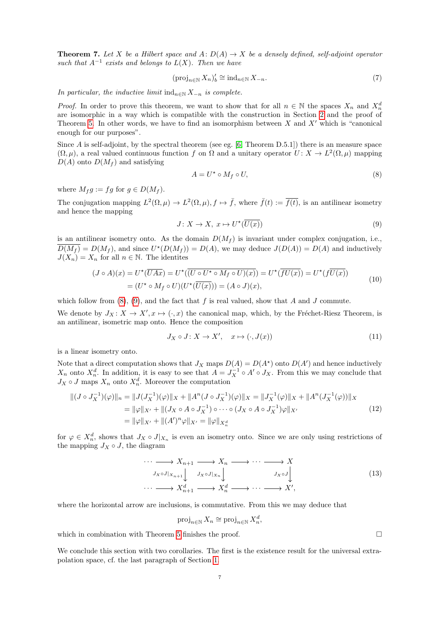<span id="page-6-2"></span>**Theorem 7.** Let X be a Hilbert space and  $A: D(A) \to X$  be a densely defined, self-adjoint operator such that  $A^{-1}$  exists and belongs to  $L(X)$ . Then we have

$$
(\operatorname{proj}_{n \in \mathbb{N}} X_n)'_b \cong \operatorname{ind}_{n \in \mathbb{N}} X_{-n}.\tag{7}
$$

In particular, the inductive limit  $\text{ind}_{n\in\mathbb{N}} X_{-n}$  is complete.

*Proof.* In order to prove this theorem, we want to show that for all  $n \in \mathbb{N}$  the spaces  $X_n$  and  $X_n^d$ are isomorphic in a way which is compatible with the construction in Section [2](#page-2-2) and the proof of Theorem [5.](#page-4-0) In other words, we have to find an isomorphism between  $X$  and  $X'$  which is "canonical enough for our purposes".

Since A is self-adjoint, by the spectral theorem (see eg. [\[6,](#page-7-2) Theorem D.5.1]) there is an measure space  $(\Omega, \mu)$ , a real valued continuous function f on  $\Omega$  and a unitary operator  $U: X \to L^2(\Omega, \mu)$  mapping  $D(A)$  onto  $D(M_f)$  and satisfying

<span id="page-6-0"></span>
$$
A = U^* \circ M_f \circ U,\tag{8}
$$

where  $M_f g := fg$  for  $g \in D(M_f)$ .

The conjugation mapping  $L^2(\Omega,\mu) \to L^2(\Omega,\mu)$ ,  $f \mapsto \bar{f}$ , where  $\bar{f}(t) := \bar{f}(t)$ , is an antilinear isometry and hence the mapping

<span id="page-6-1"></span>
$$
J: X \to X, \ x \mapsto U^*(\overline{U(x)}) \tag{9}
$$

is an antilinear isometry onto. As the domain  $D(M_f)$  is invariant under complex conjugation, i.e.,  $\overline{D(M_f)} = D(M_f)$ , and since  $U^*(D(M_f)) = D(A)$ , we may deduce  $J(D(A)) = D(A)$  and inductively  $J(X_n) = X_n$  for all  $n \in \mathbb{N}$ . The identities

$$
(J \circ A)(x) = U^*(\overline{UAx}) = U^*(\overline{(U \circ U^* \circ M_f \circ U)(x)}) = U^*(\overline{fU(x)}) = U^*(f\overline{U(x)})
$$
  
= 
$$
(U^* \circ M_f \circ U)(U^*(\overline{U(x)})) = (A \circ J)(x),
$$
 (10)

which follow from  $(8)$ ,  $(9)$ , and the fact that f is real valued, show that A and J commute.

We denote by  $J_X: X \to X', x \mapsto (\cdot, x)$  the canonical map, which, by the Fréchet-Riesz Theorem, is an antilinear, isometric map onto. Hence the composition

$$
J_X \circ J: X \to X', \quad x \mapsto (\cdot, J(x)) \tag{11}
$$

is a linear isometry onto.

Note that a direct computation shows that  $J_X$  maps  $D(A) = D(A^*)$  onto  $D(A')$  and hence inductively  $X_n$  onto  $X_n^d$ . In addition, it is easy to see that  $A = J_X^{-1} \circ A' \circ J_X$ . From this we may conclude that  $J_X \circ J$  maps  $X_n$  onto  $X_n^d$ . Moreover the computation

$$
\begin{split} \|(J \circ J_X^{-1})(\varphi)\|_n &= \|J(J_X^{-1})(\varphi)\|_X + \|A^n (J \circ J_X^{-1})(\varphi)\|_X = \|J_X^{-1}(\varphi)\|_X + \|A^n (J_X^{-1}(\varphi))\|_X \\ &= \|\varphi\|_{X'} + \|(J_X \circ A \circ J_X^{-1}) \circ \cdots \circ (J_X \circ A \circ J_X^{-1})\varphi\|_{X'} \\ &= \|\varphi\|_{X'} + \|(A')^n \varphi\|_{X'} = \|\varphi\|_{X_n^d} \end{split} \tag{12}
$$

for  $\varphi \in X_n^d$ , shows that  $J_X \circ J|_{X_n}$  is even an isometry onto. Since we are only using restrictions of the mapping  $J_X \circ J$ , the diagram

$$
\cdots \longrightarrow X_{n+1} \longrightarrow X_n \longrightarrow \cdots \longrightarrow X
$$
  
\n
$$
J_X \circ J|_{X_{n+1}} \downarrow \qquad J_X \circ J|_{X_n} \downarrow \qquad \qquad J_X \circ J \downarrow
$$
  
\n
$$
\cdots \longrightarrow X_{n+1}^d \longrightarrow X_n^d \longrightarrow \cdots \longrightarrow X',
$$
\n(13)

where the horizontal arrow are inclusions, is commutative. From this we may deduce that

$$
\operatorname{proj}_{n \in \mathbb{N}} X_n \cong \operatorname{proj}_{n \in \mathbb{N}} X_n^d,
$$

which in combination with Theorem [5](#page-4-0) finishes the proof.  $\Box$ 

We conclude this section with two corollaries. The first is the existence result for the universal extrapolation space, cf. the last paragraph of Section [1.](#page-0-1)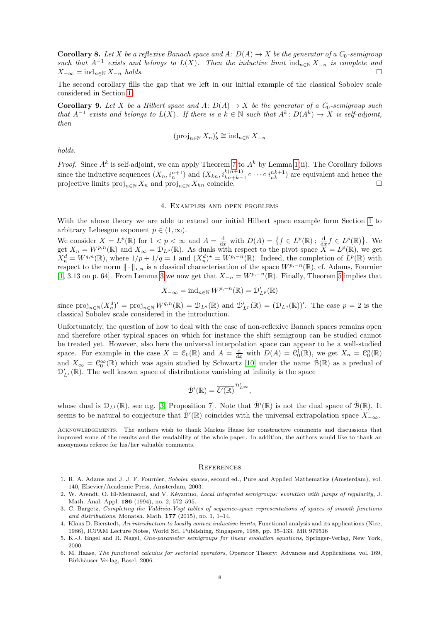**Corollary 8.** Let X be a reflexive Banach space and A:  $D(A) \rightarrow X$  be the generator of a  $C_0$ -semigroup such that  $A^{-1}$  exists and belongs to  $L(X)$ . Then the inductive limit  $\text{ind}_{n\in\mathbb{N}} X_{-n}$  is complete and  $X_{-\infty} = \text{ind}_{n \in \mathbb{N}} X_{-n}$  holds.

The second corollary fills the gap that we left in our initial example of the classical Sobolev scale considered in Section [1.](#page-0-1)

<span id="page-7-1"></span>**Corollary 9.** Let X be a Hilbert space and  $A: D(A) \rightarrow X$  be the generator of a  $C_0$ -semigroup such that  $A^{-1}$  exists and belongs to  $L(X)$ . If there is a  $k \in \mathbb{N}$  such that  $A^k \colon D(A^k) \to X$  is self-adjoint, then

$$
(\operatorname{proj}_{n\in\mathbb{N}} X_n)'_b \cong \operatorname{ind}_{n\in\mathbb{N}} X_{-n}
$$

holds.

*Proof.* Since  $A^k$  is self-adjoint, we can apply Theorem [7](#page-6-2) to  $A^k$  by Lemma [1\(](#page-2-1)ii). The Corollary follows since the inductive sequences  $(X_n, i_n^{n+1})$  and  $(X_{kn}, i_{kn+k-1}^{k(n+1)} \circ \cdots \circ i_{nk}^{nk+1})$  are equivalent and hence the projective limits  $\text{proj}_{n\in\mathbb{N}} X_n$  and  $\text{proj}_{n\in\mathbb{N}} X_{kn}$  coincide.

## 4. Examples and open problems

With the above theory we are able to extend our initial Hilbert space example form Section [1](#page-0-1) to arbitrary Lebesgue exponent  $p \in (1, \infty)$ .

We consider  $X = L^p(\mathbb{R})$  for  $1 < p < \infty$  and  $A = \frac{d}{dx}$  with  $D(A) = \{f \in L^p(\mathbb{R}) \,;\, \frac{d}{dx} f \in L^p(\mathbb{R})\}.$  We get  $X_n = W^{p,n}(\mathbb{R})$  and  $X_\infty = \mathcal{D}_{L^p}(\mathbb{R})$ . As duals with respect to the pivot space  $\overline{X} = L^p(\mathbb{R})$ , we get  $X_n^d = W^{q,n}(\mathbb{R})$ , where  $1/p + 1/q = 1$  and  $(X_n^d)^* = W^{p,-n}(\mathbb{R})$ . Indeed, the completion of  $L^p(\mathbb{R})$  with respect to the norm  $\|\cdot\|_{\star,n}$  is a classical characterisation of the space  $W^{p,-n}(\mathbb{R})$ , cf. Adams, Fournier [\[1,](#page-7-5) [3](#page-3-0).13 on p. 64]. From Lemma 3 we now get that  $X_{-n} = W^{p,-n}(\mathbb{R})$ . Finally, Theorem [5](#page-4-0) implies that

$$
X_{-\infty} = \text{ind}_{n \in \mathbb{N}} W^{p,-n}(\mathbb{R}) = \mathcal{D}'_{L^p}(\mathbb{R})
$$

since  $\text{proj}_{n\in\mathbb{N}}(X_n^d)' = \text{proj}_{n\in\mathbb{N}}W^{q,n}(\mathbb{R}) = \mathcal{D}_{L^q}(\mathbb{R})$  and  $\mathcal{D}'_{L^p}(\mathbb{R}) = (\mathcal{D}_{L^q}(\mathbb{R}))'$ . The case  $p = 2$  is the classical Sobolev scale considered in the introduction.

Unfortunately, the question of how to deal with the case of non-reflexive Banach spaces remains open and therefore other typical spaces on which for instance the shift semigroup can be studied cannot be treated yet. However, also here the universal interpolation space can appear to be a well-studied space. For example in the case  $X = \mathcal{C}_0(\mathbb{R})$  and  $A = \frac{d}{dx}$  with  $D(A) = \mathcal{C}_0^1(\mathbb{R})$ , we get  $X_n = \mathcal{C}_0^n(\mathbb{R})$ and  $X_{\infty} = \mathcal{C}_0^{\infty}(\mathbb{R})$  which was again studied by Schwartz [\[10\]](#page-8-0) under the name  $\mathcal{B}(\mathbb{R})$  as a predual of  $\mathcal{D}'_{L^{1}}(\mathbb{R})$ . The well known space of distributions vanishing at infinity is the space

$$
\dot{\mathcal{B}}'(\mathbb{R}) = \overline{\mathcal{E}'(\mathbb{R})}^{\mathcal{D}'_{L^{\infty}}},
$$

whose dual is  $\mathcal{D}_{L^1}(\mathbb{R})$ , see e.g. [\[3,](#page-7-6) Proposition 7]. Note that  $\dot{\mathcal{B}}'(\mathbb{R})$  is not the dual space of  $\dot{\mathcal{B}}(\mathbb{R})$ . It seems to be natural to conjecture that  $\dot{\mathcal{B}}'(\mathbb{R})$  coincides with the universal extrapolation space  $X_{-\infty}$ .

Acknowledgements. The authors wish to thank Markus Haase for constructive comments and discussions that improved some of the results and the readability of the whole paper. In addition, the authors would like to thank an anonymous referee for his/her valuable comments.

#### **REFERENCES**

- <span id="page-7-5"></span>1. R. A. Adams and J. J. F. Fournier, Sobolev spaces, second ed., Pure and Applied Mathematics (Amsterdam), vol. 140, Elsevier/Academic Press, Amsterdam, 2003.
- <span id="page-7-3"></span>2. W. Arendt, O. El-Mennaoui, and V. Kéyantuo, Local integrated semigroups: evolution with jumps of regularity, J. Math. Anal. Appl. 186 (1994), no. 2, 572–595.
- <span id="page-7-6"></span>3. C. Bargetz, Completing the Valdivia-Vogt tables of sequence-space representations of spaces of smooth functions and distributions, Monatsh. Math.  $177$  (2015), no. 1, 1-14.
- <span id="page-7-4"></span>4. Klaus D. Bierstedt, An introduction to locally convex inductive limits, Functional analysis and its applications (Nice, 1986), ICPAM Lecture Notes, World Sci. Publishing, Singapore, 1988, pp. 35–133. MR 979516
- <span id="page-7-0"></span>5. K.-J. Engel and R. Nagel, One-parameter semigroups for linear evolution equations, Springer-Verlag, New York, 2000.
- <span id="page-7-2"></span>6. M. Haase, The functional calculus for sectorial operators, Operator Theory: Advances and Applications, vol. 169, Birkhäuser Verlag, Basel, 2006.